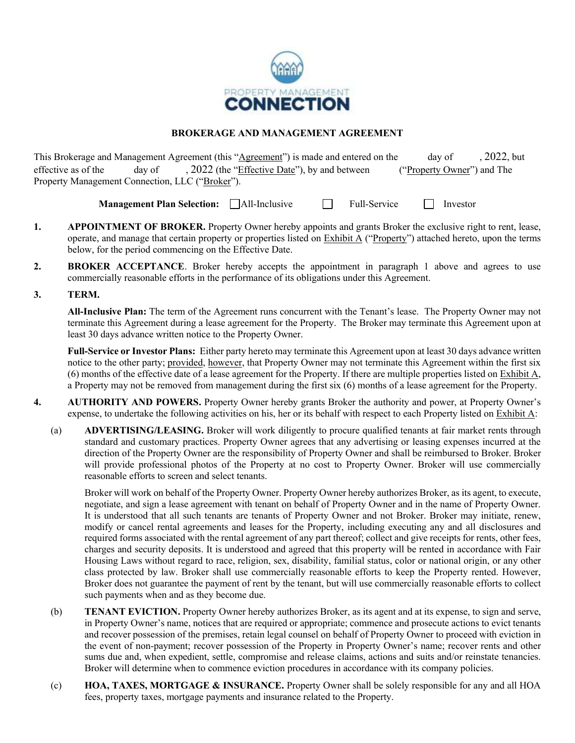

### **BROKERAGE AND MANAGEMENT AGREEMENT**

This Brokerage and Management Agreement (this "Agreement") is made and entered on the day of , 2022, but effective as of the day of , 2022 (the "Effective Date"), by and between ("Property Owner") and The Property Management Connection, LLC ("Broker").

**Management Plan Selection:** All-Inclusive **Full-Service** Investor

- **1. APPOINTMENT OF BROKER.** Property Owner hereby appoints and grants Broker the exclusive right to rent, lease, operate, and manage that certain property or properties listed on Exhibit A ("Property") attached hereto, upon the terms below, for the period commencing on the Effective Date.
- **2. BROKER ACCEPTANCE**. Broker hereby accepts the appointment in paragraph 1 above and agrees to use commercially reasonable efforts in the performance of its obligations under this Agreement.
- **3. TERM.**

**All-Inclusive Plan:** The term of the Agreement runs concurrent with the Tenant's lease. The Property Owner may not terminate this Agreement during a lease agreement for the Property. The Broker may terminate this Agreement upon at least 30 days advance written notice to the Property Owner.

**Full-Service or Investor Plans:** Either party hereto may terminate this Agreement upon at least 30 days advance written notice to the other party; provided, however, that Property Owner may not terminate this Agreement within the first six (6) months of the effective date of a lease agreement for the Property. If there are multiple properties listed on Exhibit A, a Property may not be removed from management during the first six (6) months of a lease agreement for the Property.

- **4. AUTHORITY AND POWERS.** Property Owner hereby grants Broker the authority and power, at Property Owner's expense, to undertake the following activities on his, her or its behalf with respect to each Property listed on Exhibit A:
	- (a) **ADVERTISING/LEASING.** Broker will work diligently to procure qualified tenants at fair market rents through standard and customary practices. Property Owner agrees that any advertising or leasing expenses incurred at the direction of the Property Owner are the responsibility of Property Owner and shall be reimbursed to Broker. Broker will provide professional photos of the Property at no cost to Property Owner. Broker will use commercially reasonable efforts to screen and select tenants.

Broker will work on behalf of the Property Owner. Property Owner hereby authorizes Broker, as its agent, to execute, negotiate, and sign a lease agreement with tenant on behalf of Property Owner and in the name of Property Owner. It is understood that all such tenants are tenants of Property Owner and not Broker. Broker may initiate, renew, modify or cancel rental agreements and leases for the Property, including executing any and all disclosures and required forms associated with the rental agreement of any part thereof; collect and give receipts for rents, other fees, charges and security deposits. It is understood and agreed that this property will be rented in accordance with Fair Housing Laws without regard to race, religion, sex, disability, familial status, color or national origin, or any other class protected by law. Broker shall use commercially reasonable efforts to keep the Property rented. However, Broker does not guarantee the payment of rent by the tenant, but will use commercially reasonable efforts to collect such payments when and as they become due.

- (b) **TENANT EVICTION.** Property Owner hereby authorizes Broker, as its agent and at its expense, to sign and serve, in Property Owner's name, notices that are required or appropriate; commence and prosecute actions to evict tenants and recover possession of the premises, retain legal counsel on behalf of Property Owner to proceed with eviction in the event of non-payment; recover possession of the Property in Property Owner's name; recover rents and other sums due and, when expedient, settle, compromise and release claims, actions and suits and/or reinstate tenancies. Broker will determine when to commence eviction procedures in accordance with its company policies.
- (c) **HOA, TAXES, MORTGAGE & INSURANCE.** Property Owner shall be solely responsible for any and all HOA fees, property taxes, mortgage payments and insurance related to the Property.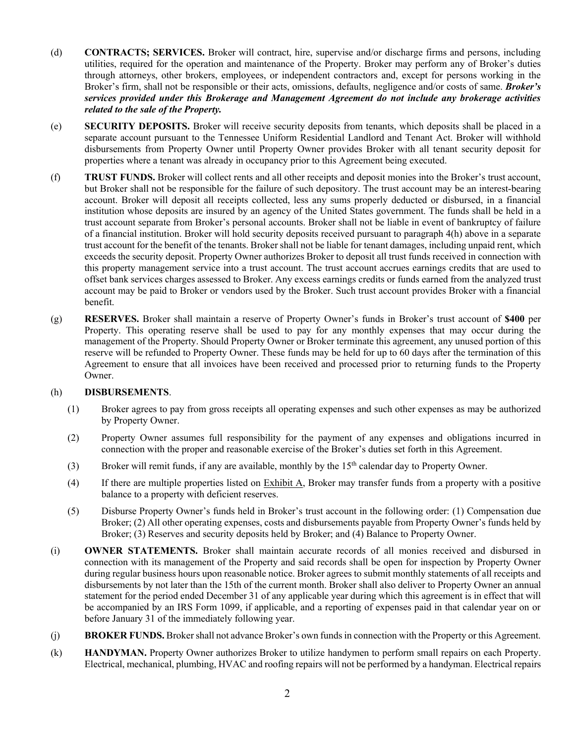- (d) **CONTRACTS; SERVICES.** Broker will contract, hire, supervise and/or discharge firms and persons, including utilities, required for the operation and maintenance of the Property. Broker may perform any of Broker's duties through attorneys, other brokers, employees, or independent contractors and, except for persons working in the Broker's firm, shall not be responsible or their acts, omissions, defaults, negligence and/or costs of same. *Broker's services provided under this Brokerage and Management Agreement do not include any brokerage activities related to the sale of the Property.*
- (e) **SECURITY DEPOSITS.** Broker will receive security deposits from tenants, which deposits shall be placed in a separate account pursuant to the Tennessee Uniform Residential Landlord and Tenant Act. Broker will withhold disbursements from Property Owner until Property Owner provides Broker with all tenant security deposit for properties where a tenant was already in occupancy prior to this Agreement being executed.
- (f) **TRUST FUNDS.** Broker will collect rents and all other receipts and deposit monies into the Broker's trust account, but Broker shall not be responsible for the failure of such depository. The trust account may be an interest-bearing account. Broker will deposit all receipts collected, less any sums properly deducted or disbursed, in a financial institution whose deposits are insured by an agency of the United States government. The funds shall be held in a trust account separate from Broker's personal accounts. Broker shall not be liable in event of bankruptcy of failure of a financial institution. Broker will hold security deposits received pursuant to paragraph 4(h) above in a separate trust account for the benefit of the tenants. Broker shall not be liable for tenant damages, including unpaid rent, which exceeds the security deposit. Property Owner authorizes Broker to deposit all trust funds received in connection with this property management service into a trust account. The trust account accrues earnings credits that are used to offset bank services charges assessed to Broker. Any excess earnings credits or funds earned from the analyzed trust account may be paid to Broker or vendors used by the Broker. Such trust account provides Broker with a financial benefit.
- (g) **RESERVES.** Broker shall maintain a reserve of Property Owner's funds in Broker's trust account of **\$400** per Property. This operating reserve shall be used to pay for any monthly expenses that may occur during the management of the Property. Should Property Owner or Broker terminate this agreement, any unused portion of this reserve will be refunded to Property Owner. These funds may be held for up to 60 days after the termination of this Agreement to ensure that all invoices have been received and processed prior to returning funds to the Property Owner.

### (h) **DISBURSEMENTS**.

- (1) Broker agrees to pay from gross receipts all operating expenses and such other expenses as may be authorized by Property Owner.
- (2) Property Owner assumes full responsibility for the payment of any expenses and obligations incurred in connection with the proper and reasonable exercise of the Broker's duties set forth in this Agreement.
- (3) Broker will remit funds, if any are available, monthly by the 15<sup>th</sup> calendar day to Property Owner.
- (4) If there are multiple properties listed on Exhibit A, Broker may transfer funds from a property with a positive balance to a property with deficient reserves.
- (5) Disburse Property Owner's funds held in Broker's trust account in the following order: (1) Compensation due Broker; (2) All other operating expenses, costs and disbursements payable from Property Owner's funds held by Broker; (3) Reserves and security deposits held by Broker; and (4) Balance to Property Owner.
- (i) **OWNER STATEMENTS.** Broker shall maintain accurate records of all monies received and disbursed in connection with its management of the Property and said records shall be open for inspection by Property Owner during regular business hours upon reasonable notice. Broker agrees to submit monthly statements of all receipts and disbursements by not later than the 15th of the current month. Broker shall also deliver to Property Owner an annual statement for the period ended December 31 of any applicable year during which this agreement is in effect that will be accompanied by an IRS Form 1099, if applicable, and a reporting of expenses paid in that calendar year on or before January 31 of the immediately following year.
- (j) **BROKER FUNDS.** Broker shall not advance Broker's own funds in connection with the Property or this Agreement.
- (k) **HANDYMAN.** Property Owner authorizes Broker to utilize handymen to perform small repairs on each Property. Electrical, mechanical, plumbing, HVAC and roofing repairs will not be performed by a handyman. Electrical repairs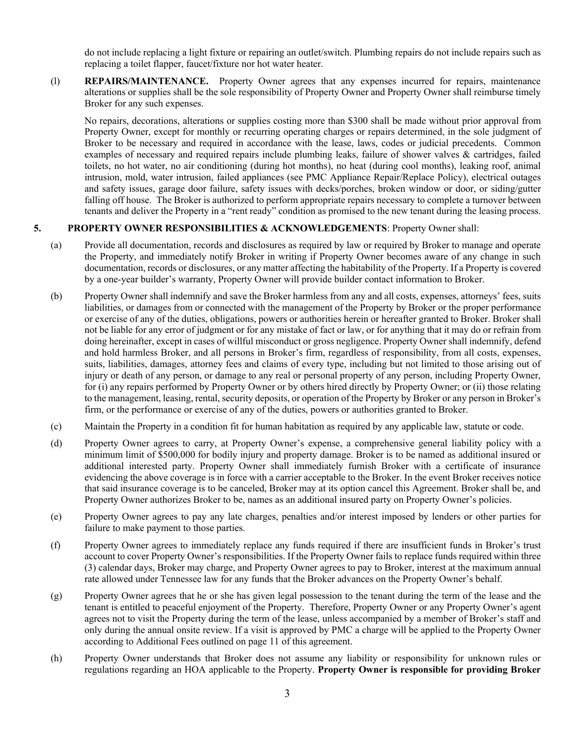do not include replacing a light fixture or repairing an outlet/switch. Plumbing repairs do not include repairs such as replacing a toilet flapper, faucet/fixture nor hot water heater.

(l) **REPAIRS/MAINTENANCE.** Property Owner agrees that any expenses incurred for repairs, maintenance alterations or supplies shall be the sole responsibility of Property Owner and Property Owner shall reimburse timely Broker for any such expenses.

No repairs, decorations, alterations or supplies costing more than \$300 shall be made without prior approval from Property Owner, except for monthly or recurring operating charges or repairs determined, in the sole judgment of Broker to be necessary and required in accordance with the lease, laws, codes or judicial precedents. Common examples of necessary and required repairs include plumbing leaks, failure of shower valves & cartridges, failed toilets, no hot water, no air conditioning (during hot months), no heat (during cool months), leaking roof, animal intrusion, mold, water intrusion, failed appliances (see PMC Appliance Repair/Replace Policy), electrical outages and safety issues, garage door failure, safety issues with decks/porches, broken window or door, or siding/gutter falling off house. The Broker is authorized to perform appropriate repairs necessary to complete a turnover between tenants and deliver the Property in a "rent ready" condition as promised to the new tenant during the leasing process.

### **5. PROPERTY OWNER RESPONSIBILITIES & ACKNOWLEDGEMENTS**: Property Owner shall:

- (a) Provide all documentation, records and disclosures as required by law or required by Broker to manage and operate the Property, and immediately notify Broker in writing if Property Owner becomes aware of any change in such documentation, records or disclosures, or any matter affecting the habitability of the Property. If a Property is covered by a one-year builder's warranty, Property Owner will provide builder contact information to Broker.
- (b) Property Owner shall indemnify and save the Broker harmless from any and all costs, expenses, attorneys' fees, suits liabilities, or damages from or connected with the management of the Property by Broker or the proper performance or exercise of any of the duties, obligations, powers or authorities herein or hereafter granted to Broker. Broker shall not be liable for any error of judgment or for any mistake of fact or law, or for anything that it may do or refrain from doing hereinafter, except in cases of willful misconduct or gross negligence. Property Owner shall indemnify, defend and hold harmless Broker, and all persons in Broker's firm, regardless of responsibility, from all costs, expenses, suits, liabilities, damages, attorney fees and claims of every type, including but not limited to those arising out of injury or death of any person, or damage to any real or personal property of any person, including Property Owner, for (i) any repairs performed by Property Owner or by others hired directly by Property Owner; or (ii) those relating to the management, leasing, rental, security deposits, or operation of the Property by Broker or any person in Broker's firm, or the performance or exercise of any of the duties, powers or authorities granted to Broker.
- (c) Maintain the Property in a condition fit for human habitation as required by any applicable law, statute or code.
- (d) Property Owner agrees to carry, at Property Owner's expense, a comprehensive general liability policy with a minimum limit of \$500,000 for bodily injury and property damage. Broker is to be named as additional insured or additional interested party. Property Owner shall immediately furnish Broker with a certificate of insurance evidencing the above coverage is in force with a carrier acceptable to the Broker. In the event Broker receives notice that said insurance coverage is to be canceled, Broker may at its option cancel this Agreement. Broker shall be, and Property Owner authorizes Broker to be, names as an additional insured party on Property Owner's policies.
- (e) Property Owner agrees to pay any late charges, penalties and/or interest imposed by lenders or other parties for failure to make payment to those parties.
- (f) Property Owner agrees to immediately replace any funds required if there are insufficient funds in Broker's trust account to cover Property Owner's responsibilities. If the Property Owner fails to replace funds required within three (3) calendar days, Broker may charge, and Property Owner agrees to pay to Broker, interest at the maximum annual rate allowed under Tennessee law for any funds that the Broker advances on the Property Owner's behalf.
- (g) Property Owner agrees that he or she has given legal possession to the tenant during the term of the lease and the tenant is entitled to peaceful enjoyment of the Property. Therefore, Property Owner or any Property Owner's agent agrees not to visit the Property during the term of the lease, unless accompanied by a member of Broker's staff and only during the annual onsite review. If a visit is approved by PMC a charge will be applied to the Property Owner according to Additional Fees outlined on page 11 of this agreement.
- (h) Property Owner understands that Broker does not assume any liability or responsibility for unknown rules or regulations regarding an HOA applicable to the Property. **Property Owner is responsible for providing Broker**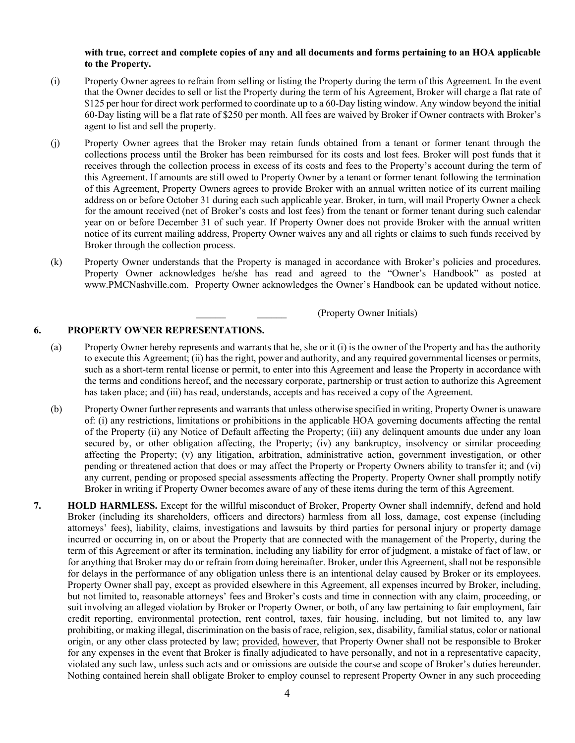#### **with true, correct and complete copies of any and all documents and forms pertaining to an HOA applicable to the Property.**

- (i) Property Owner agrees to refrain from selling or listing the Property during the term of this Agreement. In the event that the Owner decides to sell or list the Property during the term of his Agreement, Broker will charge a flat rate of \$125 per hour for direct work performed to coordinate up to a 60-Day listing window. Any window beyond the initial 60-Day listing will be a flat rate of \$250 per month. All fees are waived by Broker if Owner contracts with Broker's agent to list and sell the property.
- (j) Property Owner agrees that the Broker may retain funds obtained from a tenant or former tenant through the collections process until the Broker has been reimbursed for its costs and lost fees. Broker will post funds that it receives through the collection process in excess of its costs and fees to the Property's account during the term of this Agreement. If amounts are still owed to Property Owner by a tenant or former tenant following the termination of this Agreement, Property Owners agrees to provide Broker with an annual written notice of its current mailing address on or before October 31 during each such applicable year. Broker, in turn, will mail Property Owner a check for the amount received (net of Broker's costs and lost fees) from the tenant or former tenant during such calendar year on or before December 31 of such year. If Property Owner does not provide Broker with the annual written notice of its current mailing address, Property Owner waives any and all rights or claims to such funds received by Broker through the collection process.
- (k) Property Owner understands that the Property is managed in accordance with Broker's policies and procedures. Property Owner acknowledges he/she has read and agreed to the "Owner's Handbook" as posted at www.PMCNashville.com. Property Owner acknowledges the Owner's Handbook can be updated without notice.

\_\_\_\_\_\_ \_\_\_\_\_\_ (Property Owner Initials)

#### **6. PROPERTY OWNER REPRESENTATIONS.**

- (a) Property Owner hereby represents and warrants that he, she or it (i) is the owner of the Property and has the authority to execute this Agreement; (ii) has the right, power and authority, and any required governmental licenses or permits, such as a short-term rental license or permit, to enter into this Agreement and lease the Property in accordance with the terms and conditions hereof, and the necessary corporate, partnership or trust action to authorize this Agreement has taken place; and (iii) has read, understands, accepts and has received a copy of the Agreement.
- (b) Property Owner further represents and warrants that unless otherwise specified in writing, Property Owner is unaware of: (i) any restrictions, limitations or prohibitions in the applicable HOA governing documents affecting the rental of the Property (ii) any Notice of Default affecting the Property; (iii) any delinquent amounts due under any loan secured by, or other obligation affecting, the Property; (iv) any bankruptcy, insolvency or similar proceeding affecting the Property; (v) any litigation, arbitration, administrative action, government investigation, or other pending or threatened action that does or may affect the Property or Property Owners ability to transfer it; and (vi) any current, pending or proposed special assessments affecting the Property. Property Owner shall promptly notify Broker in writing if Property Owner becomes aware of any of these items during the term of this Agreement.
- **7. HOLD HARMLESS.** Except for the willful misconduct of Broker, Property Owner shall indemnify, defend and hold Broker (including its shareholders, officers and directors) harmless from all loss, damage, cost expense (including attorneys' fees), liability, claims, investigations and lawsuits by third parties for personal injury or property damage incurred or occurring in, on or about the Property that are connected with the management of the Property, during the term of this Agreement or after its termination, including any liability for error of judgment, a mistake of fact of law, or for anything that Broker may do or refrain from doing hereinafter. Broker, under this Agreement, shall not be responsible for delays in the performance of any obligation unless there is an intentional delay caused by Broker or its employees. Property Owner shall pay, except as provided elsewhere in this Agreement, all expenses incurred by Broker, including, but not limited to, reasonable attorneys' fees and Broker's costs and time in connection with any claim, proceeding, or suit involving an alleged violation by Broker or Property Owner, or both, of any law pertaining to fair employment, fair credit reporting, environmental protection, rent control, taxes, fair housing, including, but not limited to, any law prohibiting, or making illegal, discrimination on the basis of race, religion, sex, disability, familial status, color or national origin, or any other class protected by law; provided, however, that Property Owner shall not be responsible to Broker for any expenses in the event that Broker is finally adjudicated to have personally, and not in a representative capacity, violated any such law, unless such acts and or omissions are outside the course and scope of Broker's duties hereunder. Nothing contained herein shall obligate Broker to employ counsel to represent Property Owner in any such proceeding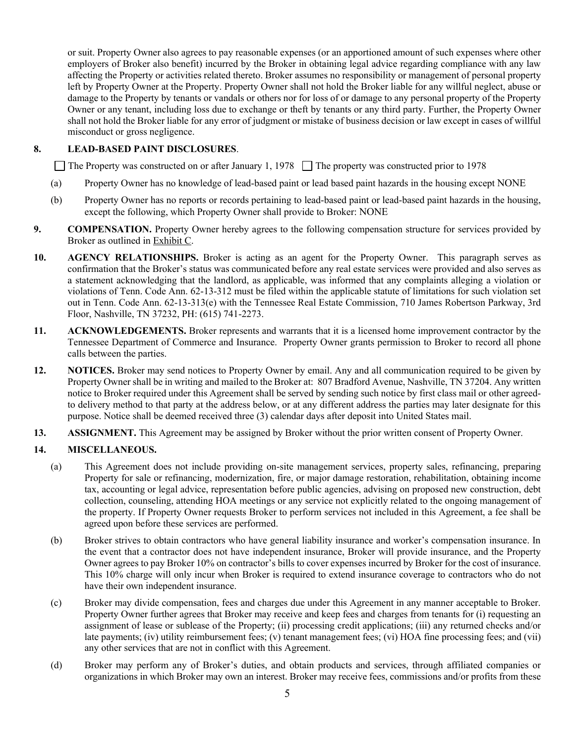or suit. Property Owner also agrees to pay reasonable expenses (or an apportioned amount of such expenses where other employers of Broker also benefit) incurred by the Broker in obtaining legal advice regarding compliance with any law affecting the Property or activities related thereto. Broker assumes no responsibility or management of personal property left by Property Owner at the Property. Property Owner shall not hold the Broker liable for any willful neglect, abuse or damage to the Property by tenants or vandals or others nor for loss of or damage to any personal property of the Property Owner or any tenant, including loss due to exchange or theft by tenants or any third party. Further, the Property Owner shall not hold the Broker liable for any error of judgment or mistake of business decision or law except in cases of willful misconduct or gross negligence.

### **8. LEAD-BASED PAINT DISCLOSURES**.

The Property was constructed on or after January 1, 1978  $\Box$  The property was constructed prior to 1978

- (a) Property Owner has no knowledge of lead-based paint or lead based paint hazards in the housing except NONE
- (b) Property Owner has no reports or records pertaining to lead-based paint or lead-based paint hazards in the housing, except the following, which Property Owner shall provide to Broker: NONE
- **9. COMPENSATION.** Property Owner hereby agrees to the following compensation structure for services provided by Broker as outlined in Exhibit C.
- **10. AGENCY RELATIONSHIPS.** Broker is acting as an agent for the Property Owner. This paragraph serves as confirmation that the Broker's status was communicated before any real estate services were provided and also serves as a statement acknowledging that the landlord, as applicable, was informed that any complaints alleging a violation or violations of Tenn. Code Ann. 62-13-312 must be filed within the applicable statute of limitations for such violation set out in Tenn. Code Ann. 62-13-313(e) with the Tennessee Real Estate Commission, 710 James Robertson Parkway, 3rd Floor, Nashville, TN 37232, PH: (615) 741-2273.
- **11. ACKNOWLEDGEMENTS.** Broker represents and warrants that it is a licensed home improvement contractor by the Tennessee Department of Commerce and Insurance. Property Owner grants permission to Broker to record all phone calls between the parties.
- **12. NOTICES.** Broker may send notices to Property Owner by email. Any and all communication required to be given by Property Owner shall be in writing and mailed to the Broker at: 807 Bradford Avenue, Nashville, TN 37204. Any written notice to Broker required under this Agreement shall be served by sending such notice by first class mail or other agreedto delivery method to that party at the address below, or at any different address the parties may later designate for this purpose. Notice shall be deemed received three (3) calendar days after deposit into United States mail.
- **13. ASSIGNMENT.** This Agreement may be assigned by Broker without the prior written consent of Property Owner.

### **14. MISCELLANEOUS.**

- (a) This Agreement does not include providing on-site management services, property sales, refinancing, preparing Property for sale or refinancing, modernization, fire, or major damage restoration, rehabilitation, obtaining income tax, accounting or legal advice, representation before public agencies, advising on proposed new construction, debt collection, counseling, attending HOA meetings or any service not explicitly related to the ongoing management of the property. If Property Owner requests Broker to perform services not included in this Agreement, a fee shall be agreed upon before these services are performed.
- (b) Broker strives to obtain contractors who have general liability insurance and worker's compensation insurance. In the event that a contractor does not have independent insurance, Broker will provide insurance, and the Property Owner agrees to pay Broker 10% on contractor's bills to cover expenses incurred by Broker for the cost of insurance. This 10% charge will only incur when Broker is required to extend insurance coverage to contractors who do not have their own independent insurance.
- (c) Broker may divide compensation, fees and charges due under this Agreement in any manner acceptable to Broker. Property Owner further agrees that Broker may receive and keep fees and charges from tenants for (i) requesting an assignment of lease or sublease of the Property; (ii) processing credit applications; (iii) any returned checks and/or late payments; (iv) utility reimbursement fees; (v) tenant management fees; (vi) HOA fine processing fees; and (vii) any other services that are not in conflict with this Agreement.
- (d) Broker may perform any of Broker's duties, and obtain products and services, through affiliated companies or organizations in which Broker may own an interest. Broker may receive fees, commissions and/or profits from these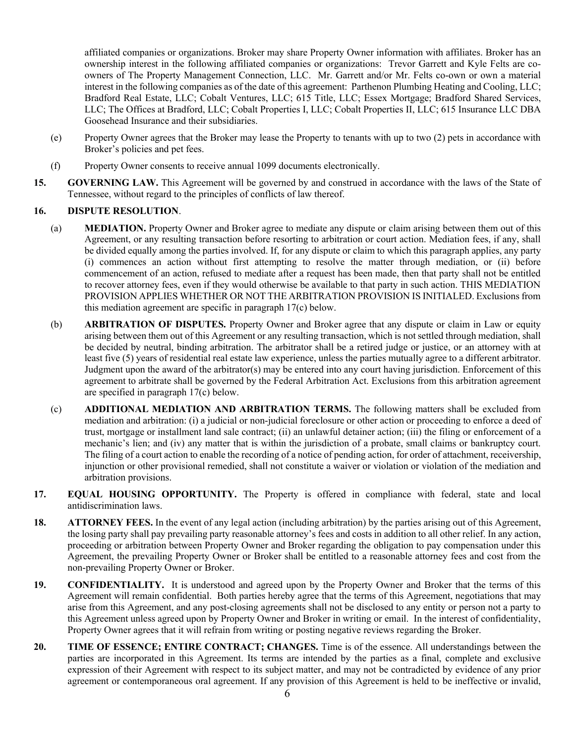affiliated companies or organizations. Broker may share Property Owner information with affiliates. Broker has an ownership interest in the following affiliated companies or organizations: Trevor Garrett and Kyle Felts are coowners of The Property Management Connection, LLC. Mr. Garrett and/or Mr. Felts co-own or own a material interest in the following companies as of the date of this agreement: Parthenon Plumbing Heating and Cooling, LLC; Bradford Real Estate, LLC; Cobalt Ventures, LLC; 615 Title, LLC; Essex Mortgage; Bradford Shared Services, LLC; The Offices at Bradford, LLC; Cobalt Properties I, LLC; Cobalt Properties II, LLC; 615 Insurance LLC DBA Goosehead Insurance and their subsidiaries.

- (e) Property Owner agrees that the Broker may lease the Property to tenants with up to two (2) pets in accordance with Broker's policies and pet fees.
- (f) Property Owner consents to receive annual 1099 documents electronically.
- **15. GOVERNING LAW.** This Agreement will be governed by and construed in accordance with the laws of the State of Tennessee, without regard to the principles of conflicts of law thereof.

### **16. DISPUTE RESOLUTION**.

- (a) **MEDIATION.** Property Owner and Broker agree to mediate any dispute or claim arising between them out of this Agreement, or any resulting transaction before resorting to arbitration or court action. Mediation fees, if any, shall be divided equally among the parties involved. If, for any dispute or claim to which this paragraph applies, any party (i) commences an action without first attempting to resolve the matter through mediation, or (ii) before commencement of an action, refused to mediate after a request has been made, then that party shall not be entitled to recover attorney fees, even if they would otherwise be available to that party in such action. THIS MEDIATION PROVISION APPLIES WHETHER OR NOT THE ARBITRATION PROVISION IS INITIALED. Exclusions from this mediation agreement are specific in paragraph 17(c) below.
- (b) **ARBITRATION OF DISPUTES.** Property Owner and Broker agree that any dispute or claim in Law or equity arising between them out of this Agreement or any resulting transaction, which is not settled through mediation, shall be decided by neutral, binding arbitration. The arbitrator shall be a retired judge or justice, or an attorney with at least five (5) years of residential real estate law experience, unless the parties mutually agree to a different arbitrator. Judgment upon the award of the arbitrator(s) may be entered into any court having jurisdiction. Enforcement of this agreement to arbitrate shall be governed by the Federal Arbitration Act. Exclusions from this arbitration agreement are specified in paragraph 17(c) below.
- (c) **ADDITIONAL MEDIATION AND ARBITRATION TERMS.** The following matters shall be excluded from mediation and arbitration: (i) a judicial or non-judicial foreclosure or other action or proceeding to enforce a deed of trust, mortgage or installment land sale contract; (ii) an unlawful detainer action; (iii) the filing or enforcement of a mechanic's lien; and (iv) any matter that is within the jurisdiction of a probate, small claims or bankruptcy court. The filing of a court action to enable the recording of a notice of pending action, for order of attachment, receivership, injunction or other provisional remedied, shall not constitute a waiver or violation or violation of the mediation and arbitration provisions.
- **17. EQUAL HOUSING OPPORTUNITY.** The Property is offered in compliance with federal, state and local antidiscrimination laws.
- **18. ATTORNEY FEES.** In the event of any legal action (including arbitration) by the parties arising out of this Agreement, the losing party shall pay prevailing party reasonable attorney's fees and costs in addition to all other relief. In any action, proceeding or arbitration between Property Owner and Broker regarding the obligation to pay compensation under this Agreement, the prevailing Property Owner or Broker shall be entitled to a reasonable attorney fees and cost from the non-prevailing Property Owner or Broker.
- **19. CONFIDENTIALITY.** It is understood and agreed upon by the Property Owner and Broker that the terms of this Agreement will remain confidential. Both parties hereby agree that the terms of this Agreement, negotiations that may arise from this Agreement, and any post-closing agreements shall not be disclosed to any entity or person not a party to this Agreement unless agreed upon by Property Owner and Broker in writing or email. In the interest of confidentiality, Property Owner agrees that it will refrain from writing or posting negative reviews regarding the Broker.
- **20. TIME OF ESSENCE; ENTIRE CONTRACT; CHANGES.** Time is of the essence. All understandings between the parties are incorporated in this Agreement. Its terms are intended by the parties as a final, complete and exclusive expression of their Agreement with respect to its subject matter, and may not be contradicted by evidence of any prior agreement or contemporaneous oral agreement. If any provision of this Agreement is held to be ineffective or invalid,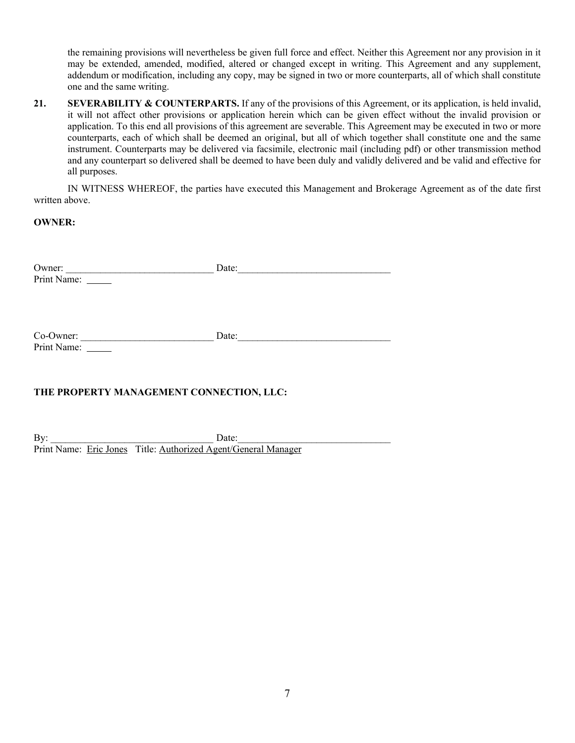the remaining provisions will nevertheless be given full force and effect. Neither this Agreement nor any provision in it may be extended, amended, modified, altered or changed except in writing. This Agreement and any supplement, addendum or modification, including any copy, may be signed in two or more counterparts, all of which shall constitute one and the same writing.

**21. SEVERABILITY & COUNTERPARTS.** If any of the provisions of this Agreement, or its application, is held invalid, it will not affect other provisions or application herein which can be given effect without the invalid provision or application. To this end all provisions of this agreement are severable. This Agreement may be executed in two or more counterparts, each of which shall be deemed an original, but all of which together shall constitute one and the same instrument. Counterparts may be delivered via facsimile, electronic mail (including pdf) or other transmission method and any counterpart so delivered shall be deemed to have been duly and validly delivered and be valid and effective for all purposes.

IN WITNESS WHEREOF, the parties have executed this Management and Brokerage Agreement as of the date first written above.

**OWNER:**

| Owner:               | )ate: |  |
|----------------------|-------|--|
| Print Name<br>1111 L |       |  |

Co-Owner: \_\_\_\_\_\_\_\_\_\_\_\_\_\_\_\_\_\_\_\_\_\_\_\_\_\_\_ Date:\_\_\_\_\_\_\_\_\_\_\_\_\_\_\_\_\_\_\_\_\_\_\_\_\_\_\_\_\_\_\_ Print Name:

# **THE PROPERTY MANAGEMENT CONNECTION, LLC:**

 $\text{By:}\qquad \qquad \text{Date:}$ Print Name: Eric Jones Title: Authorized Agent/General Manager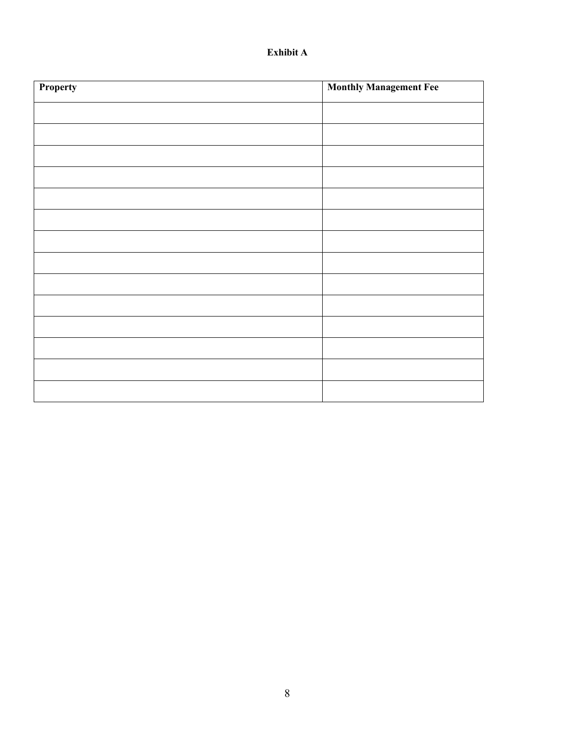# **Exhibit A**

| Property | <b>Monthly Management Fee</b> |  |
|----------|-------------------------------|--|
|          |                               |  |
|          |                               |  |
|          |                               |  |
|          |                               |  |
|          |                               |  |
|          |                               |  |
|          |                               |  |
|          |                               |  |
|          |                               |  |
|          |                               |  |
|          |                               |  |
|          |                               |  |
|          |                               |  |
|          |                               |  |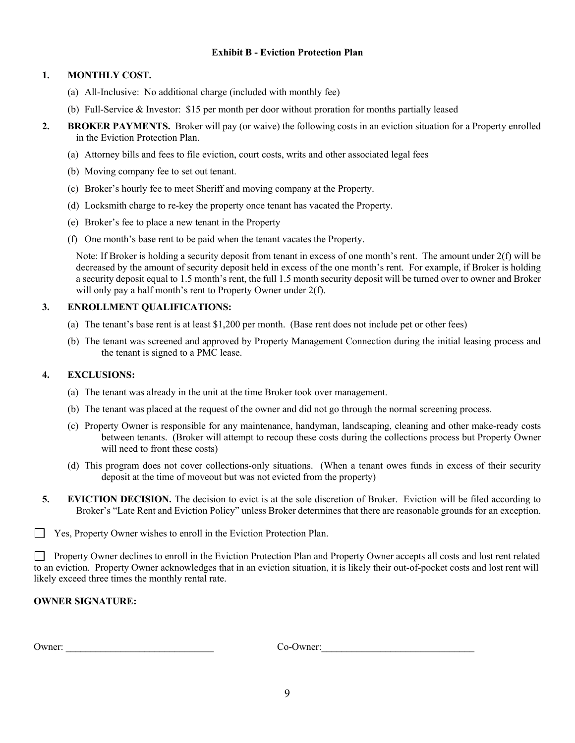### **Exhibit B - Eviction Protection Plan**

### **1. MONTHLY COST.**

- (a) All-Inclusive: No additional charge (included with monthly fee)
- (b) Full-Service & Investor: \$15 per month per door without proration for months partially leased
- **2. BROKER PAYMENTS.** Broker will pay (or waive) the following costs in an eviction situation for a Property enrolled in the Eviction Protection Plan.
	- (a) Attorney bills and fees to file eviction, court costs, writs and other associated legal fees
	- (b) Moving company fee to set out tenant.
	- (c) Broker's hourly fee to meet Sheriff and moving company at the Property.
	- (d) Locksmith charge to re-key the property once tenant has vacated the Property.
	- (e) Broker's fee to place a new tenant in the Property
	- (f) One month's base rent to be paid when the tenant vacates the Property.

Note: If Broker is holding a security deposit from tenant in excess of one month's rent. The amount under 2(f) will be decreased by the amount of security deposit held in excess of the one month's rent. For example, if Broker is holding a security deposit equal to 1.5 month's rent, the full 1.5 month security deposit will be turned over to owner and Broker will only pay a half month's rent to Property Owner under  $2(f)$ .

### **3. ENROLLMENT QUALIFICATIONS:**

- (a) The tenant's base rent is at least \$1,200 per month. (Base rent does not include pet or other fees)
- (b) The tenant was screened and approved by Property Management Connection during the initial leasing process and the tenant is signed to a PMC lease.

#### **4. EXCLUSIONS:**

- (a) The tenant was already in the unit at the time Broker took over management.
- (b) The tenant was placed at the request of the owner and did not go through the normal screening process.
- (c) Property Owner is responsible for any maintenance, handyman, landscaping, cleaning and other make-ready costs between tenants. (Broker will attempt to recoup these costs during the collections process but Property Owner will need to front these costs)
- (d) This program does not cover collections-only situations. (When a tenant owes funds in excess of their security deposit at the time of moveout but was not evicted from the property)
- **5. EVICTION DECISION.** The decision to evict is at the sole discretion of Broker. Eviction will be filed according to Broker's "Late Rent and Eviction Policy" unless Broker determines that there are reasonable grounds for an exception.
- $\perp$ Yes, Property Owner wishes to enroll in the Eviction Protection Plan.

Property Owner declines to enroll in the Eviction Protection Plan and Property Owner accepts all costs and lost rent related to an eviction. Property Owner acknowledges that in an eviction situation, it is likely their out-of-pocket costs and lost rent will likely exceed three times the monthly rental rate.

### **OWNER SIGNATURE:**

Owner: \_\_\_\_\_\_\_\_\_\_\_\_\_\_\_\_\_\_\_\_\_\_\_\_\_\_\_\_\_\_ Co-Owner:\_\_\_\_\_\_\_\_\_\_\_\_\_\_\_\_\_\_\_\_\_\_\_\_\_\_\_\_\_\_\_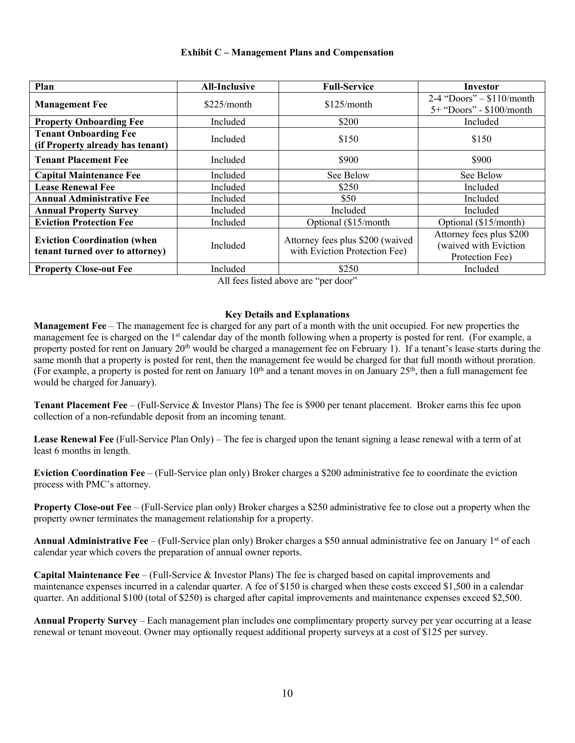### **Exhibit C – Management Plans and Compensation**

| Plan                                                                  | <b>All-Inclusive</b> | <b>Full-Service</b>                                               | Investor                                                             |
|-----------------------------------------------------------------------|----------------------|-------------------------------------------------------------------|----------------------------------------------------------------------|
| <b>Management Fee</b>                                                 | \$225/month          | $$125/m$ onth                                                     | $2-4$ "Doors" - \$110/month<br>5+ "Doors" - \$100/month              |
| <b>Property Onboarding Fee</b>                                        | Included             | \$200                                                             | Included                                                             |
| <b>Tenant Onboarding Fee</b><br>(if Property already has tenant)      | Included             | \$150                                                             | \$150                                                                |
| <b>Tenant Placement Fee</b>                                           | Included             | \$900                                                             | \$900                                                                |
| <b>Capital Maintenance Fee</b>                                        | Included             | See Below                                                         | See Below                                                            |
| <b>Lease Renewal Fee</b>                                              | Included             | \$250                                                             | Included                                                             |
| <b>Annual Administrative Fee</b>                                      | Included             | \$50                                                              | Included                                                             |
| <b>Annual Property Survey</b>                                         | Included             | Included                                                          | Included                                                             |
| <b>Eviction Protection Fee</b>                                        | Included             | Optional (\$15/month)                                             | Optional (\$15/month)                                                |
| <b>Eviction Coordination (when</b><br>tenant turned over to attorney) | Included             | Attorney fees plus \$200 (waived<br>with Eviction Protection Fee) | Attorney fees plus \$200<br>(waived with Eviction<br>Protection Fee) |
| <b>Property Close-out Fee</b>                                         | Included             | \$250                                                             | Included                                                             |

All fees listed above are "per door"

### **Key Details and Explanations**

**Management Fee** – The management fee is charged for any part of a month with the unit occupied. For new properties the management fee is charged on the 1<sup>st</sup> calendar day of the month following when a property is posted for rent. (For example, a property posted for rent on January 20th would be charged a management fee on February 1). If a tenant's lease starts during the same month that a property is posted for rent, then the management fee would be charged for that full month without proration. (For example, a property is posted for rent on January  $10<sup>th</sup>$  and a tenant moves in on January  $25<sup>th</sup>$ , then a full management fee would be charged for January).

**Tenant Placement Fee** – (Full-Service & Investor Plans) The fee is \$900 per tenant placement. Broker earns this fee upon collection of a non-refundable deposit from an incoming tenant.

**Lease Renewal Fee** (Full-Service Plan Only) – The fee is charged upon the tenant signing a lease renewal with a term of at least 6 months in length.

**Eviction Coordination Fee** – (Full-Service plan only) Broker charges a \$200 administrative fee to coordinate the eviction process with PMC's attorney.

**Property Close-out Fee** – (Full-Service plan only) Broker charges a \$250 administrative fee to close out a property when the property owner terminates the management relationship for a property.

Annual Administrative Fee – (Full-Service plan only) Broker charges a \$50 annual administrative fee on January 1<sup>st</sup> of each calendar year which covers the preparation of annual owner reports.

**Capital Maintenance Fee** – (Full-Service & Investor Plans) The fee is charged based on capital improvements and maintenance expenses incurred in a calendar quarter. A fee of \$150 is charged when these costs exceed \$1,500 in a calendar quarter. An additional \$100 (total of \$250) is charged after capital improvements and maintenance expenses exceed \$2,500.

**Annual Property Survey** – Each management plan includes one complimentary property survey per year occurring at a lease renewal or tenant moveout. Owner may optionally request additional property surveys at a cost of \$125 per survey.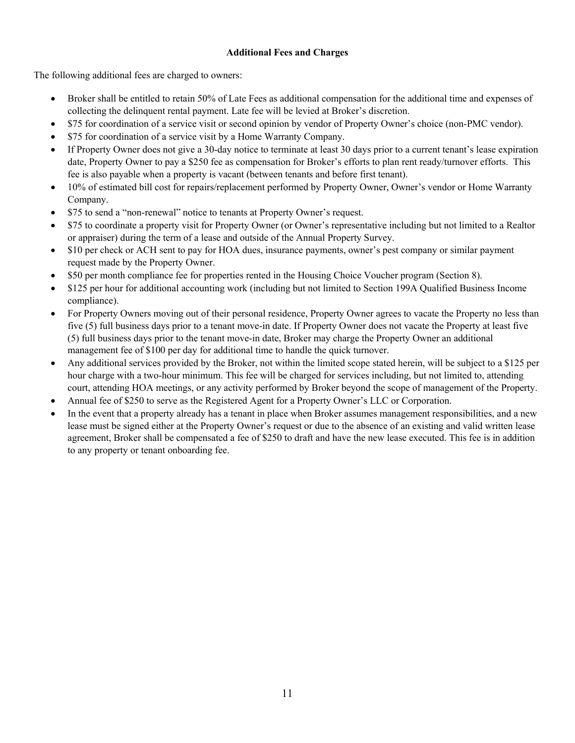### **Additional Fees and Charges**

The following additional fees are charged to owners:

- Broker shall be entitled to retain 50% of Late Fees as additional compensation for the additional time and expenses of collecting the delinquent rental payment. Late fee will be levied at Broker's discretion.
- \$75 for coordination of a service visit or second opinion by vendor of Property Owner's choice (non-PMC vendor).
- \$75 for coordination of a service visit by a Home Warranty Company.
- If Property Owner does not give a 30-day notice to terminate at least 30 days prior to a current tenant's lease expiration date, Property Owner to pay a \$250 fee as compensation for Broker's efforts to plan rent ready/turnover efforts. This fee is also payable when a property is vacant (between tenants and before first tenant).
- 10% of estimated bill cost for repairs/replacement performed by Property Owner, Owner's vendor or Home Warranty Company.
- \$75 to send a "non-renewal" notice to tenants at Property Owner's request.
- \$75 to coordinate a property visit for Property Owner (or Owner's representative including but not limited to a Realtor or appraiser) during the term of a lease and outside of the Annual Property Survey.
- \$10 per check or ACH sent to pay for HOA dues, insurance payments, owner's pest company or similar payment request made by the Property Owner.
- \$50 per month compliance fee for properties rented in the Housing Choice Voucher program (Section 8).
- \$125 per hour for additional accounting work (including but not limited to Section 199A Qualified Business Income compliance).
- For Property Owners moving out of their personal residence, Property Owner agrees to vacate the Property no less than five (5) full business days prior to a tenant move-in date. If Property Owner does not vacate the Property at least five (5) full business days prior to the tenant move-in date, Broker may charge the Property Owner an additional management fee of \$100 per day for additional time to handle the quick turnover.
- Any additional services provided by the Broker, not within the limited scope stated herein, will be subject to a \$125 per hour charge with a two-hour minimum. This fee will be charged for services including, but not limited to, attending court, attending HOA meetings, or any activity performed by Broker beyond the scope of management of the Property.
- Annual fee of \$250 to serve as the Registered Agent for a Property Owner's LLC or Corporation.
- In the event that a property already has a tenant in place when Broker assumes management responsibilities, and a new lease must be signed either at the Property Owner's request or due to the absence of an existing and valid written lease agreement, Broker shall be compensated a fee of \$250 to draft and have the new lease executed. This fee is in addition to any property or tenant onboarding fee.